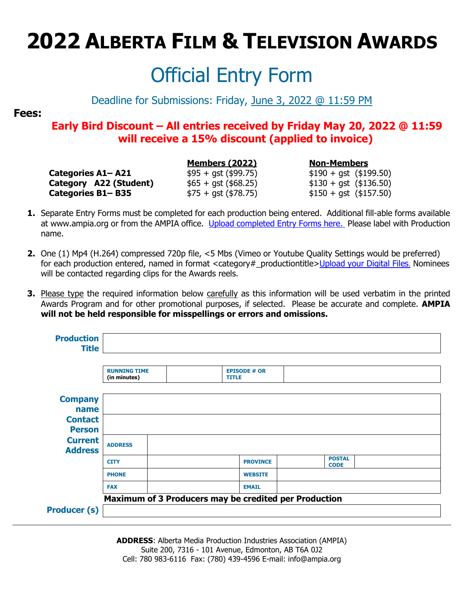### Official Entry Form

#### Deadline for Submissions: Friday, June 3, 2022 @ 11:59 PM

#### **Fees:**

#### **Early Bird Discount – All entries received by Friday May 20, 2022 @ 11:59 will receive a 15% discount (applied to invoice)**

**Categories A1–A21** \$95 + gst (\$99.75) \$190 + gst (\$199.50) **Category A22 (Student)**  $$65 + gst ($68.25)$   $$130 + gst ($136.50)$ **Categories B1– B35**  $$75 + qst ($78.75)$   $$150 + qst ($157.50)$ 

**Members (2022) Non-Members**

- **1.** Separate Entry Forms must be completed for each production being entered. Additional fill-able forms available at www.ampia.org or from the AMPIA office. [Upload completed Entry Forms here.](https://www.dropbox.com/request/SUZrNQBvST0kYUqSJxh6) Please label with Production name.
- **2.** One (1) Mp4 (H.264) compressed 720p file, <5 Mbs (Vimeo or Youtube Quality Settings would be preferred) for each production entered, named in format <category# productiontitle[>Upload your Digital Files](https://www.dropbox.com/request/pzh8NH2oyiE7B7bsGm2E). Nominees will be contacted regarding clips for the Awards reels.
- **3.** Please type the required information below carefully as this information will be used verbatim in the printed Awards Program and for other promotional purposes, if selected. Please be accurate and complete. **AMPIA will not be held responsible for misspellings or errors and omissions.**

| <b>Production</b><br><b>Title</b>                 |                                     |                                                       |                              |  |
|---------------------------------------------------|-------------------------------------|-------------------------------------------------------|------------------------------|--|
|                                                   | <b>RUNNING TIME</b><br>(in minutes) | <b>EPISODE # OR</b><br><b>TITLE</b>                   |                              |  |
| <b>Company</b><br>name<br><b>Contact</b>          |                                     |                                                       |                              |  |
| <b>Person</b><br><b>Current</b><br><b>Address</b> | <b>ADDRESS</b>                      |                                                       |                              |  |
|                                                   | <b>CITY</b>                         | <b>PROVINCE</b>                                       | <b>POSTAL</b><br><b>CODE</b> |  |
|                                                   | <b>PHONE</b>                        | <b>WEBSITE</b>                                        |                              |  |
|                                                   | <b>FAX</b>                          | <b>EMAIL</b>                                          |                              |  |
|                                                   |                                     | Maximum of 3 Producers may be credited per Production |                              |  |
| <b>Producer (s)</b>                               |                                     |                                                       |                              |  |

**ADDRESS**: Alberta Media Production Industries Association (AMPIA) Suite 200, 7316 - 101 Avenue, Edmonton, AB T6A 0J2 Cell: 780 983-6116 Fax: (780) 439-4596 E-mail: info@ampia.org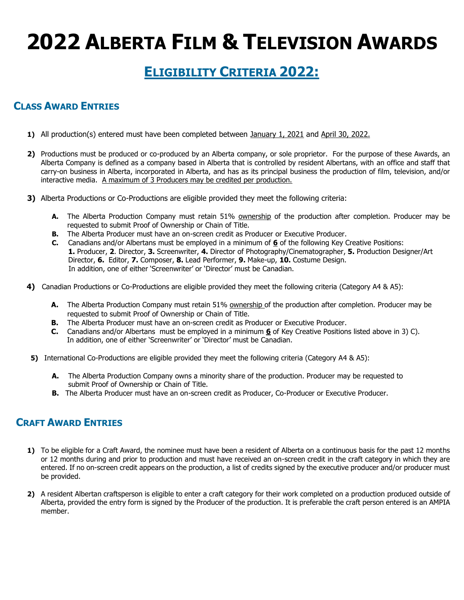### **ELIGIBILITY CRITERIA 2022:**

#### **CLASS AWARD ENTRIES**

- **1)** All production(s) entered must have been completed between January 1, 2021 and April 30, 2022.
- **2)** Productions must be produced or co-produced by an Alberta company, or sole proprietor. For the purpose of these Awards, an Alberta Company is defined as a company based in Alberta that is controlled by resident Albertans, with an office and staff that carry-on business in Alberta, incorporated in Alberta, and has as its principal business the production of film, television, and/or interactive media. A maximum of 3 Producers may be credited per production.
- **3)** Alberta Productions or Co-Productions are eligible provided they meet the following criteria:
	- **A.** The Alberta Production Company must retain 51% ownership of the production after completion. Producer may be requested to submit Proof of Ownership or Chain of Title.
	- **B.** The Alberta Producer must have an on-screen credit as Producer or Executive Producer.
	- **C.** Canadians and/or Albertans must be employed in a minimum of **6** of the following Key Creative Positions: **1.** Producer, **2**. Director, **3.** Screenwriter, **4.** Director of Photography/Cinematographer, **5.** Production Designer/Art Director, **6.** Editor, **7.** Composer, **8.** Lead Performer, **9.** Make-up, **10.** Costume Design. In addition, one of either 'Screenwriter' or 'Director' must be Canadian.
- **4)** Canadian Productions or Co-Productions are eligible provided they meet the following criteria (Category A4 & A5):
	- **A.** The Alberta Production Company must retain 51% ownership of the production after completion. Producer may be requested to submit Proof of Ownership or Chain of Title.
	- **B.** The Alberta Producer must have an on-screen credit as Producer or Executive Producer.
	- **C.** Canadians and/or Albertans must be employed in a minimum **6** of Key Creative Positions listed above in 3) C). In addition, one of either 'Screenwriter' or 'Director' must be Canadian.
- **5)** International Co-Productions are eligible provided they meet the following criteria (Category A4 & A5):
	- **A.** The Alberta Production Company owns a minority share of the production. Producer may be requested to submit Proof of Ownership or Chain of Title.
	- **B.** The Alberta Producer must have an on-screen credit as Producer, Co-Producer or Executive Producer.

#### **CRAFT AWARD ENTRIES**

- **1)** To be eligible for a Craft Award, the nominee must have been a resident of Alberta on a continuous basis for the past 12 months or 12 months during and prior to production and must have received an on-screen credit in the craft category in which they are entered. If no on-screen credit appears on the production, a list of credits signed by the executive producer and/or producer must be provided.
- **2)** A resident Albertan craftsperson is eligible to enter a craft category for their work completed on a production produced outside of Alberta, provided the entry form is signed by the Producer of the production. It is preferable the craft person entered is an AMPIA member.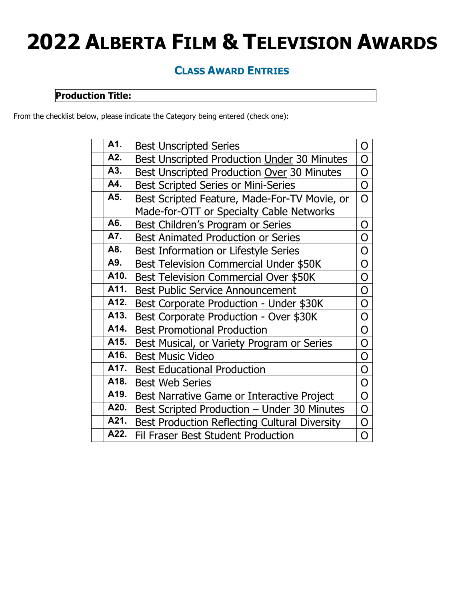#### **CLASS AWARD ENTRIES**

#### **Production Title:**

From the checklist below, please indicate the Category being entered (check one):

| A1.  | <b>Best Unscripted Series</b>                        | O              |
|------|------------------------------------------------------|----------------|
| A2.  | Best Unscripted Production Under 30 Minutes          | O              |
| A3.  | Best Unscripted Production Over 30 Minutes           | O              |
| A4.  | <b>Best Scripted Series or Mini-Series</b>           | 0              |
| A5.  | Best Scripted Feature, Made-For-TV Movie, or         | O              |
|      | Made-for-OTT or Specialty Cable Networks             |                |
| A6.  | Best Children's Program or Series                    | O              |
| A7.  | <b>Best Animated Production or Series</b>            | O              |
| A8.  | Best Information or Lifestyle Series                 | O              |
| A9.  | Best Television Commercial Under \$50K               | O              |
| A10. | Best Television Commercial Over \$50K                | O              |
| A11. | <b>Best Public Service Announcement</b>              | O              |
| A12. | Best Corporate Production - Under \$30K              | O              |
| A13. | Best Corporate Production - Over \$30K               | O              |
| A14. | <b>Best Promotional Production</b>                   | O              |
| A15. | Best Musical, or Variety Program or Series           | O              |
| A16. | <b>Best Music Video</b>                              | O              |
| A17. | <b>Best Educational Production</b>                   | $\overline{O}$ |
| A18. | <b>Best Web Series</b>                               | O              |
| A19. | Best Narrative Game or Interactive Project           | O              |
| A20. | Best Scripted Production - Under 30 Minutes          | O              |
| A21. | <b>Best Production Reflecting Cultural Diversity</b> | O              |
| A22. | Fil Fraser Best Student Production                   | O              |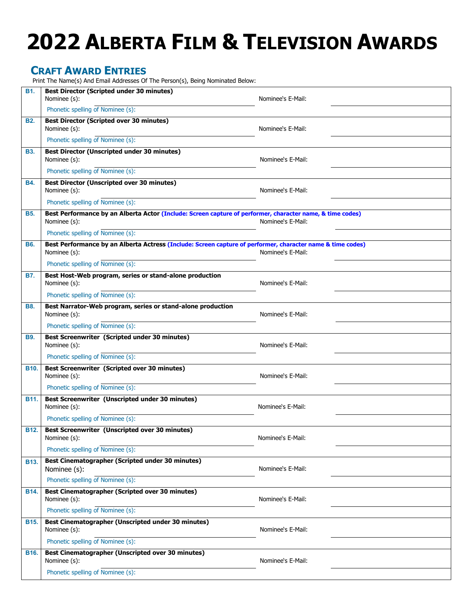#### **CRAFT AWARD ENTRIES**

Print The Name(s) And Email Addresses Of The Person(s), Being Nominated Below:

| <b>B1.</b>  | <b>Best Director (Scripted under 30 minutes)</b>                                                                           |                   |
|-------------|----------------------------------------------------------------------------------------------------------------------------|-------------------|
|             | Nominee (s):                                                                                                               | Nominee's E-Mail: |
|             | Phonetic spelling of Nominee (s):                                                                                          |                   |
| <b>B2.</b>  | <b>Best Director (Scripted over 30 minutes)</b><br>Nominee (s):                                                            | Nominee's E-Mail: |
|             | Phonetic spelling of Nominee (s):                                                                                          |                   |
| <b>B3.</b>  | <b>Best Director (Unscripted under 30 minutes)</b><br>Nominee (s):                                                         | Nominee's E-Mail: |
|             | Phonetic spelling of Nominee (s):                                                                                          |                   |
| <b>B4.</b>  | <b>Best Director (Unscripted over 30 minutes)</b><br>Nominee (s):                                                          | Nominee's E-Mail: |
|             | Phonetic spelling of Nominee (s):                                                                                          |                   |
| <b>B5.</b>  | Best Performance by an Alberta Actor (Include: Screen capture of performer, character name, & time codes)<br>Nominee (s):  | Nominee's E-Mail: |
|             | Phonetic spelling of Nominee (s):                                                                                          |                   |
| <b>B6.</b>  | Best Performance by an Alberta Actress (Include: Screen capture of performer, character name & time codes)<br>Nominee (s): | Nominee's E-Mail: |
|             | Phonetic spelling of Nominee (s):                                                                                          |                   |
| <b>B7.</b>  | Best Host-Web program, series or stand-alone production<br>Nominee (s):                                                    | Nominee's E-Mail: |
|             | Phonetic spelling of Nominee (s):                                                                                          |                   |
| <b>B8.</b>  | Best Narrator-Web program, series or stand-alone production<br>Nominee (s):                                                | Nominee's E-Mail: |
|             | Phonetic spelling of Nominee (s):                                                                                          |                   |
| <b>B9.</b>  | Best Screenwriter (Scripted under 30 minutes)<br>Nominee (s):                                                              | Nominee's E-Mail: |
|             | Phonetic spelling of Nominee (s):                                                                                          |                   |
| <b>B10.</b> | Best Screenwriter (Scripted over 30 minutes)<br>Nominee (s):                                                               | Nominee's E-Mail: |
|             | Phonetic spelling of Nominee (s):                                                                                          |                   |
| B11.        | Best Screenwriter (Unscripted under 30 minutes)<br>Nominee (s):                                                            | Nominee's E-Mail: |
|             | Phonetic spelling of Nominee (s):                                                                                          |                   |
| <b>B12.</b> | <b>Best Screenwriter (Unscripted over 30 minutes)</b><br>Nominee (s):                                                      | Nominee's E-Mail: |
|             | Phonetic spelling of Nominee (s):                                                                                          |                   |
| <b>B13.</b> | Best Cinematographer (Scripted under 30 minutes)<br>Nominee (s):                                                           | Nominee's E-Mail: |
|             | Phonetic spelling of Nominee (s):                                                                                          |                   |
| <b>B14.</b> | <b>Best Cinematographer (Scripted over 30 minutes)</b><br>Nominee (s):                                                     | Nominee's E-Mail: |
|             | Phonetic spelling of Nominee (s):                                                                                          |                   |
| B15.        | Best Cinematographer (Unscripted under 30 minutes)<br>Nominee (s):                                                         | Nominee's E-Mail: |
|             | Phonetic spelling of Nominee (s):                                                                                          |                   |
| B16.        | <b>Best Cinematographer (Unscripted over 30 minutes)</b><br>Nominee (s):                                                   | Nominee's E-Mail: |
|             | Phonetic spelling of Nominee (s):                                                                                          |                   |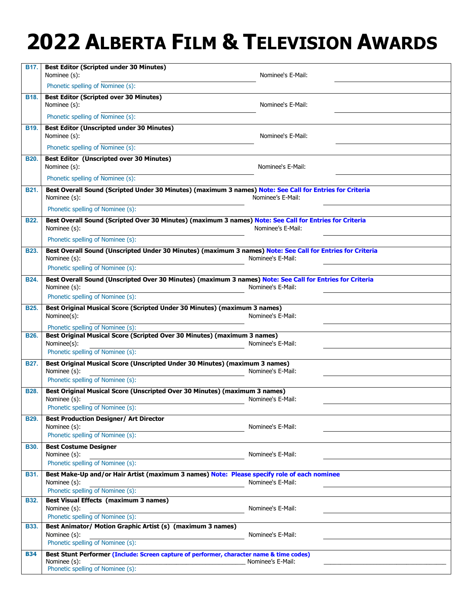| B17.        | <b>Best Editor (Scripted under 30 Minutes)</b><br>Nominee (s):                                                                                | Nominee's E-Mail: |
|-------------|-----------------------------------------------------------------------------------------------------------------------------------------------|-------------------|
|             | Phonetic spelling of Nominee (s):                                                                                                             |                   |
| B18.        | <b>Best Editor (Scripted over 30 Minutes)</b>                                                                                                 |                   |
|             | Nominee (s):                                                                                                                                  | Nominee's E-Mail: |
|             | Phonetic spelling of Nominee (s):                                                                                                             |                   |
| <b>B19.</b> | <b>Best Editor (Unscripted under 30 Minutes)</b><br>Nominee (s):                                                                              | Nominee's E-Mail: |
|             | Phonetic spelling of Nominee (s):                                                                                                             |                   |
| <b>B20.</b> | <b>Best Editor (Unscripted over 30 Minutes)</b><br>Nominee (s):                                                                               | Nominee's E-Mail: |
|             | Phonetic spelling of Nominee (s):                                                                                                             |                   |
| <b>B21.</b> | Best Overall Sound (Scripted Under 30 Minutes) (maximum 3 names) Note: See Call for Entries for Criteria<br>Nominee (s):                      | Nominee's E-Mail: |
|             | Phonetic spelling of Nominee (s):                                                                                                             |                   |
| <b>B22.</b> | Best Overall Sound (Scripted Over 30 Minutes) (maximum 3 names) Note: See Call for Entries for Criteria<br>Nominee (s):                       | Nominee's E-Mail: |
|             | Phonetic spelling of Nominee (s):                                                                                                             |                   |
| <b>B23.</b> | Best Overall Sound (Unscripted Under 30 Minutes) (maximum 3 names) Note: See Call for Entries for Criteria<br>Nominee (s):                    | Nominee's E-Mail: |
|             | Phonetic spelling of Nominee (s):                                                                                                             |                   |
| <b>B24.</b> | Best Overall Sound (Unscripted Over 30 Minutes) (maximum 3 names) Note: See Call for Entries for Criteria<br>Nominee (s):                     | Nominee's E-Mail: |
|             | Phonetic spelling of Nominee (s):                                                                                                             |                   |
| <b>B25.</b> | Best Original Musical Score (Scripted Under 30 Minutes) (maximum 3 names)<br>Nominee(s):                                                      | Nominee's E-Mail: |
|             | Phonetic spelling of Nominee (s):                                                                                                             |                   |
| <b>B26.</b> | Best Original Musical Score (Scripted Over 30 Minutes) (maximum 3 names)<br>Nominee(s):                                                       | Nominee's E-Mail: |
|             | Phonetic spelling of Nominee (s):                                                                                                             |                   |
| <b>B27.</b> | Best Original Musical Score (Unscripted Under 30 Minutes) (maximum 3 names)<br>Nominee (s):                                                   | Nominee's E-Mail: |
|             | Phonetic spelling of Nominee (s):                                                                                                             |                   |
| <b>B28.</b> | Best Original Musical Score (Unscripted Over 30 Minutes) (maximum 3 names)<br>Nominee (s):<br>Phonetic spelling of Nominee (s):               | Nominee's E-Mail: |
| <b>B29.</b> | <b>Best Production Designer/ Art Director</b>                                                                                                 |                   |
|             | Nominee (s):<br>Phonetic spelling of Nominee (s):                                                                                             | Nominee's E-Mail: |
| <b>B30.</b> | <b>Best Costume Designer</b>                                                                                                                  |                   |
|             | Nominee (s):                                                                                                                                  | Nominee's E-Mail: |
|             | Phonetic spelling of Nominee (s):                                                                                                             |                   |
| <b>B31.</b> | Best Make-Up and/or Hair Artist (maximum 3 names) Note: Please specify role of each nominee                                                   |                   |
|             | Nominee (s):<br>Phonetic spelling of Nominee (s):                                                                                             | Nominee's E-Mail: |
| <b>B32.</b> | <b>Best Visual Effects (maximum 3 names)</b>                                                                                                  |                   |
|             | Nominee (s):<br>Phonetic spelling of Nominee (s):                                                                                             | Nominee's E-Mail: |
| <b>B33.</b> | Best Animator/ Motion Graphic Artist (s) (maximum 3 names)                                                                                    |                   |
|             | Nominee (s):                                                                                                                                  | Nominee's E-Mail: |
|             | Phonetic spelling of Nominee (s):                                                                                                             |                   |
| <b>B34</b>  | Best Stunt Performer (Include: Screen capture of performer, character name & time codes)<br>Nominee (s):<br>Phonetic spelling of Nominee (s): | Nominee's E-Mail: |
|             |                                                                                                                                               |                   |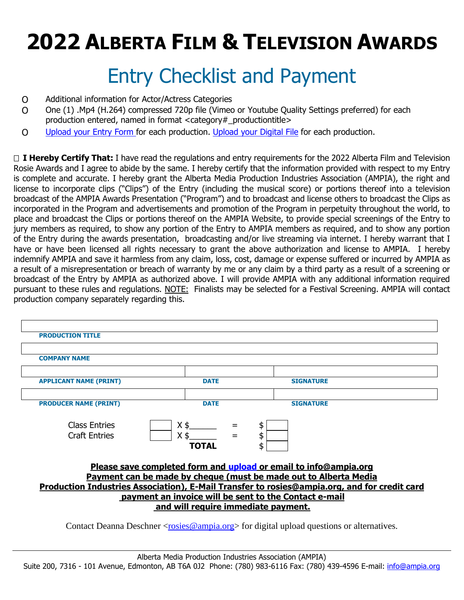### Entry Checklist and Payment

- O Additional information for Actor/Actress Categories
- O One (1) .Mp4 (H.264) compressed 720p file (Vimeo or Youtube Quality Settings preferred) for each production entered, named in format <category#\_productiontitle>
- O [Upload your Entry Form f](https://www.dropbox.com/request/SUZrNQBvST0kYUqSJxh6)or each production. [Upload your Digital File](https://www.dropbox.com/request/pzh8NH2oyiE7B7bsGm2E) for each production.

□ **I Hereby Certify That:** I have read the regulations and entry requirements for the 2022 Alberta Film and Television Rosie Awards and I agree to abide by the same. I hereby certify that the information provided with respect to my Entry is complete and accurate. I hereby grant the Alberta Media Production Industries Association (AMPIA), the right and license to incorporate clips ("Clips") of the Entry (including the musical score) or portions thereof into a television broadcast of the AMPIA Awards Presentation ("Program") and to broadcast and license others to broadcast the Clips as incorporated in the Program and advertisements and promotion of the Program in perpetuity throughout the world, to place and broadcast the Clips or portions thereof on the AMPIA Website, to provide special screenings of the Entry to jury members as required, to show any portion of the Entry to AMPIA members as required, and to show any portion of the Entry during the awards presentation, broadcasting and/or live streaming via internet. I hereby warrant that I have or have been licensed all rights necessary to grant the above authorization and license to AMPIA. I hereby indemnify AMPIA and save it harmless from any claim, loss, cost, damage or expense suffered or incurred by AMPIA as a result of a misrepresentation or breach of warranty by me or any claim by a third party as a result of a screening or broadcast of the Entry by AMPIA as authorized above. I will provide AMPIA with any additional information required pursuant to these rules and regulations. NOTE: Finalists may be selected for a Festival Screening. AMPIA will contact production company separately regarding this.

| <b>PRODUCTION TITLE</b>                                                                      |                                                                  |                  |  |  |  |
|----------------------------------------------------------------------------------------------|------------------------------------------------------------------|------------------|--|--|--|
|                                                                                              |                                                                  |                  |  |  |  |
| <b>COMPANY NAME</b>                                                                          |                                                                  |                  |  |  |  |
|                                                                                              |                                                                  |                  |  |  |  |
| <b>APPLICANT NAME (PRINT)</b>                                                                | <b>DATE</b>                                                      | <b>SIGNATURE</b> |  |  |  |
|                                                                                              |                                                                  |                  |  |  |  |
| <b>PRODUCER NAME (PRINT)</b>                                                                 | <b>DATE</b>                                                      | <b>SIGNATURE</b> |  |  |  |
| <b>Class Entries</b><br><b>Craft Entries</b>                                                 | <b>TOTAL</b>                                                     | \$<br>ፍ          |  |  |  |
|                                                                                              | Please save completed form and upload or email to info@ampia.org |                  |  |  |  |
| Payment can be made by cheque (must be made out to Alberta Media                             |                                                                  |                  |  |  |  |
| Production Industries Association), E-Mail Transfer to rosies@ampia.org, and for credit card |                                                                  |                  |  |  |  |
| payment an invoice will be sent to the Contact e-mail                                        |                                                                  |                  |  |  |  |
| and will require immediate payment.                                                          |                                                                  |                  |  |  |  |
|                                                                                              |                                                                  |                  |  |  |  |

Contact Deanna Deschner [<rosies@ampia.org>](mailto:rosies@ampia.org) for digital upload questions or alternatives.